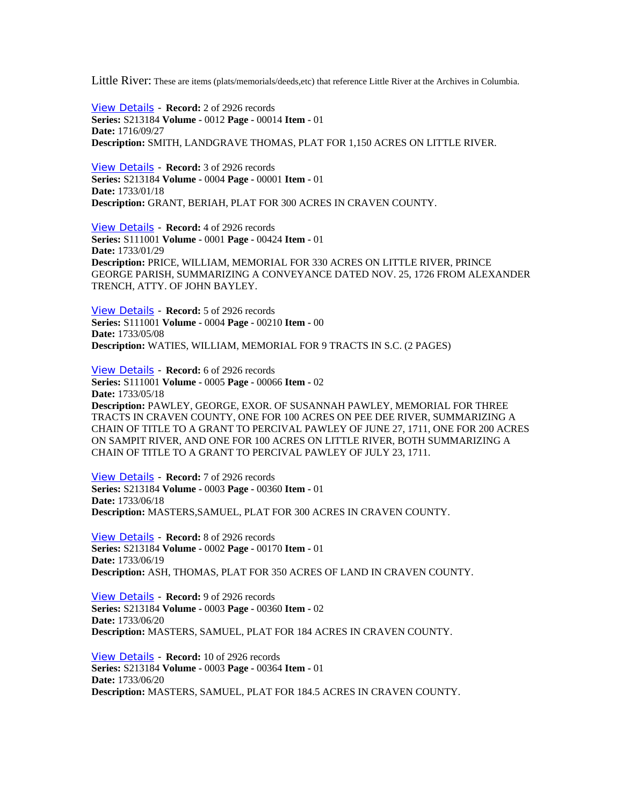Little River: These are items (plats/memorials/deeds,etc) that reference Little River at the Archives in Columbia.

[View Details](http://www.archivesindex.sc.gov/search/details.asp?index=100331&table=AllArchivalData&tableLook=MainIndex) - **Record:** 2 of 2926 records **Series:** S213184 **Volume -** 0012 **Page -** 00014 **Item -** 01 **Date:** 1716/09/27 **Description:** SMITH, LANDGRAVE THOMAS, PLAT FOR 1,150 ACRES ON LITTLE RIVER.

[View Details](http://www.archivesindex.sc.gov/search/details.asp?index=90514&table=AllArchivalData&tableLook=MainIndex) - **Record:** 3 of 2926 records **Series:** S213184 **Volume -** 0004 **Page -** 00001 **Item -** 01 **Date:** 1733/01/18 **Description:** GRANT, BERIAH, PLAT FOR 300 ACRES IN CRAVEN COUNTY.

[View Details](http://www.archivesindex.sc.gov/search/details.asp?index=131379&table=AllArchivalData&tableLook=MainIndex) - **Record:** 4 of 2926 records **Series:** S111001 **Volume -** 0001 **Page -** 00424 **Item -** 01 **Date:** 1733/01/29 **Description:** PRICE, WILLIAM, MEMORIAL FOR 330 ACRES ON LITTLE RIVER, PRINCE GEORGE PARISH, SUMMARIZING A CONVEYANCE DATED NOV. 25, 1726 FROM ALEXANDER TRENCH, ATTY. OF JOHN BAYLEY.

[View Details](http://www.archivesindex.sc.gov/search/details.asp?index=133763&table=AllArchivalData&tableLook=MainIndex) - **Record:** 5 of 2926 records **Series:** S111001 **Volume -** 0004 **Page -** 00210 **Item -** 00 **Date:** 1733/05/08 **Description:** WATIES, WILLIAM, MEMORIAL FOR 9 TRACTS IN S.C. (2 PAGES)

[View Details](http://www.archivesindex.sc.gov/search/details.asp?index=133985&table=AllArchivalData&tableLook=MainIndex) - **Record:** 6 of 2926 records **Series:** S111001 **Volume -** 0005 **Page -** 00066 **Item -** 02 **Date:** 1733/05/18 **Description:** PAWLEY, GEORGE, EXOR. OF SUSANNAH PAWLEY, MEMORIAL FOR THREE TRACTS IN CRAVEN COUNTY, ONE FOR 100 ACRES ON PEE DEE RIVER, SUMMARIZING A CHAIN OF TITLE TO A GRANT TO PERCIVAL PAWLEY OF JUNE 27, 1711, ONE FOR 200 ACRES ON SAMPIT RIVER, AND ONE FOR 100 ACRES ON LITTLE RIVER, BOTH SUMMARIZING A CHAIN OF TITLE TO A GRANT TO PERCIVAL PAWLEY OF JULY 23, 1711.

[View Details](http://www.archivesindex.sc.gov/search/details.asp?index=90265&table=AllArchivalData&tableLook=MainIndex) - **Record:** 7 of 2926 records **Series:** S213184 **Volume -** 0003 **Page -** 00360 **Item -** 01 **Date:** 1733/06/18 **Description:** MASTERS,SAMUEL, PLAT FOR 300 ACRES IN CRAVEN COUNTY.

[View Details](http://www.archivesindex.sc.gov/search/details.asp?index=89138&table=AllArchivalData&tableLook=MainIndex) - **Record:** 8 of 2926 records **Series:** S213184 **Volume -** 0002 **Page -** 00170 **Item -** 01 **Date:** 1733/06/19 **Description:** ASH, THOMAS, PLAT FOR 350 ACRES OF LAND IN CRAVEN COUNTY.

[View Details](http://www.archivesindex.sc.gov/search/details.asp?index=90266&table=AllArchivalData&tableLook=MainIndex) - **Record:** 9 of 2926 records **Series:** S213184 **Volume -** 0003 **Page -** 00360 **Item -** 02 **Date:** 1733/06/20 **Description:** MASTERS, SAMUEL, PLAT FOR 184 ACRES IN CRAVEN COUNTY.

[View Details](http://www.archivesindex.sc.gov/search/details.asp?index=90271&table=AllArchivalData&tableLook=MainIndex) - **Record:** 10 of 2926 records **Series:** S213184 **Volume -** 0003 **Page -** 00364 **Item -** 01 **Date:** 1733/06/20 **Description:** MASTERS, SAMUEL, PLAT FOR 184.5 ACRES IN CRAVEN COUNTY.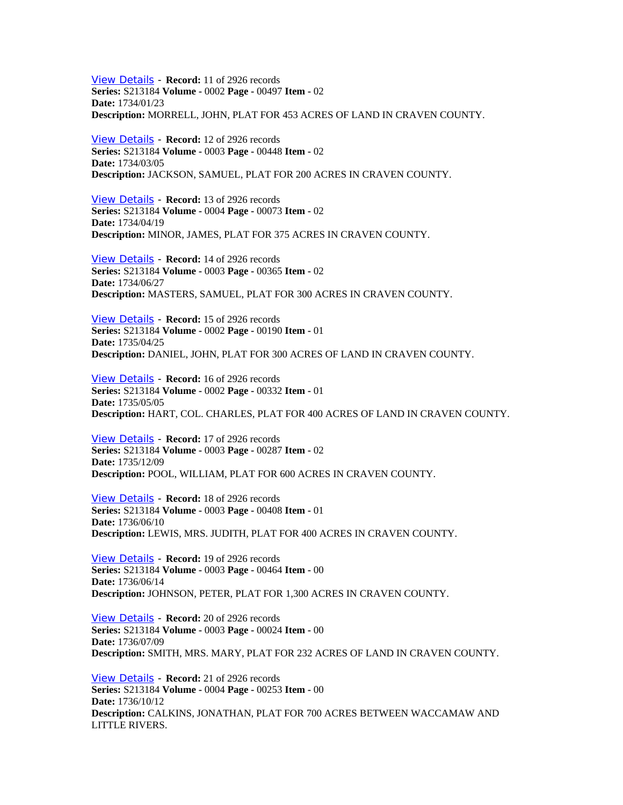[View Details](http://www.archivesindex.sc.gov/search/details.asp?index=89704&table=AllArchivalData&tableLook=MainIndex) - **Record:** 11 of 2926 records **Series:** S213184 **Volume -** 0002 **Page -** 00497 **Item -** 02 **Date:** 1734/01/23 **Description:** MORRELL, JOHN, PLAT FOR 453 ACRES OF LAND IN CRAVEN COUNTY.

[View Details](http://www.archivesindex.sc.gov/search/details.asp?index=90392&table=AllArchivalData&tableLook=MainIndex) - **Record:** 12 of 2926 records **Series:** S213184 **Volume -** 0003 **Page -** 00448 **Item -** 02 **Date:** 1734/03/05 **Description:** JACKSON, SAMUEL, PLAT FOR 200 ACRES IN CRAVEN COUNTY.

[View Details](http://www.archivesindex.sc.gov/search/details.asp?index=90629&table=AllArchivalData&tableLook=MainIndex) - **Record:** 13 of 2926 records **Series:** S213184 **Volume -** 0004 **Page -** 00073 **Item -** 02 **Date:** 1734/04/19 **Description:** MINOR, JAMES, PLAT FOR 375 ACRES IN CRAVEN COUNTY.

[View Details](http://www.archivesindex.sc.gov/search/details.asp?index=90274&table=AllArchivalData&tableLook=MainIndex) - **Record:** 14 of 2926 records **Series:** S213184 **Volume -** 0003 **Page -** 00365 **Item -** 02 **Date:** 1734/06/27 **Description:** MASTERS, SAMUEL, PLAT FOR 300 ACRES IN CRAVEN COUNTY.

[View Details](http://www.archivesindex.sc.gov/search/details.asp?index=89167&table=AllArchivalData&tableLook=MainIndex) - **Record:** 15 of 2926 records **Series:** S213184 **Volume -** 0002 **Page -** 00190 **Item -** 01 **Date:** 1735/04/25 **Description:** DANIEL, JOHN, PLAT FOR 300 ACRES OF LAND IN CRAVEN COUNTY.

[View Details](http://www.archivesindex.sc.gov/search/details.asp?index=89404&table=AllArchivalData&tableLook=MainIndex) - **Record:** 16 of 2926 records **Series:** S213184 **Volume -** 0002 **Page -** 00332 **Item -** 01 **Date:** 1735/05/05 **Description:** HART, COL. CHARLES, PLAT FOR 400 ACRES OF LAND IN CRAVEN COUNTY.

[View Details](http://www.archivesindex.sc.gov/search/details.asp?index=90151&table=AllArchivalData&tableLook=MainIndex) - **Record:** 17 of 2926 records **Series:** S213184 **Volume -** 0003 **Page -** 00287 **Item -** 02 **Date:** 1735/12/09 **Description:** POOL, WILLIAM, PLAT FOR 600 ACRES IN CRAVEN COUNTY.

[View Details](http://www.archivesindex.sc.gov/search/details.asp?index=90339&table=AllArchivalData&tableLook=MainIndex) - **Record:** 18 of 2926 records **Series:** S213184 **Volume -** 0003 **Page -** 00408 **Item -** 01 **Date:** 1736/06/10 **Description:** LEWIS, MRS. JUDITH, PLAT FOR 400 ACRES IN CRAVEN COUNTY.

[View Details](http://www.archivesindex.sc.gov/search/details.asp?index=90421&table=AllArchivalData&tableLook=MainIndex) - **Record:** 19 of 2926 records **Series:** S213184 **Volume -** 0003 **Page -** 00464 **Item -** 00 **Date:** 1736/06/14 **Description:** JOHNSON, PETER, PLAT FOR 1,300 ACRES IN CRAVEN COUNTY.

[View Details](http://www.archivesindex.sc.gov/search/details.asp?index=89796&table=AllArchivalData&tableLook=MainIndex) - **Record:** 20 of 2926 records **Series:** S213184 **Volume -** 0003 **Page -** 00024 **Item -** 00 **Date:** 1736/07/09 **Description:** SMITH, MRS. MARY, PLAT FOR 232 ACRES OF LAND IN CRAVEN COUNTY.

[View Details](http://www.archivesindex.sc.gov/search/details.asp?index=90939&table=AllArchivalData&tableLook=MainIndex) - **Record:** 21 of 2926 records **Series:** S213184 **Volume -** 0004 **Page -** 00253 **Item -** 00 **Date:** 1736/10/12 **Description:** CALKINS, JONATHAN, PLAT FOR 700 ACRES BETWEEN WACCAMAW AND LITTLE RIVERS.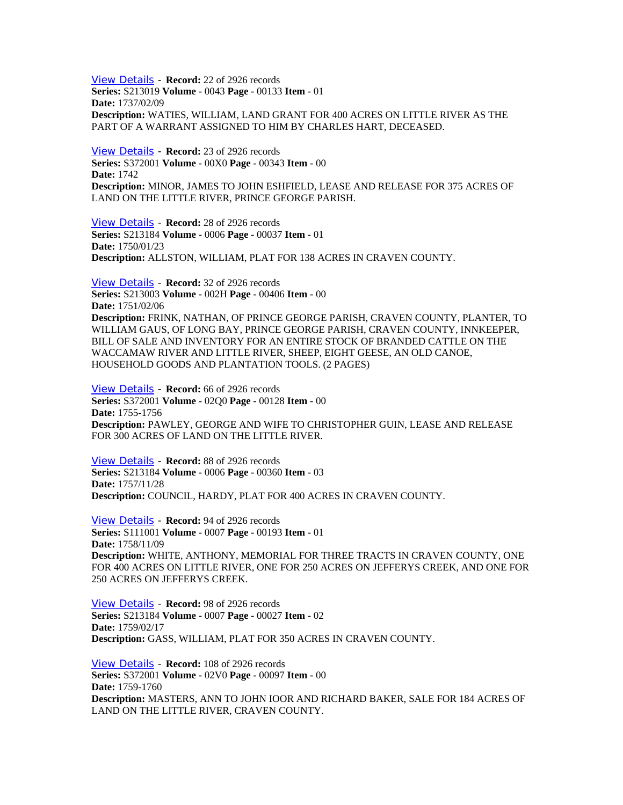[View Details](http://www.archivesindex.sc.gov/search/details.asp?index=74543&table=AllArchivalData&tableLook=MainIndex) - **Record:** 22 of 2926 records **Series:** S213019 **Volume -** 0043 **Page -** 00133 **Item -** 01 **Date:** 1737/02/09 **Description:** WATIES, WILLIAM, LAND GRANT FOR 400 ACRES ON LITTLE RIVER AS THE PART OF A WARRANT ASSIGNED TO HIM BY CHARLES HART, DECEASED.

[View Details](http://www.archivesindex.sc.gov/search/details.asp?index=80755&table=AllArchivalData&tableLook=MainIndex) - **Record:** 23 of 2926 records **Series:** S372001 **Volume -** 00X0 **Page -** 00343 **Item -** 00 **Date:** 1742 **Description:** MINOR, JAMES TO JOHN ESHFIELD, LEASE AND RELEASE FOR 375 ACRES OF LAND ON THE LITTLE RIVER, PRINCE GEORGE PARISH.

[View Details](http://www.archivesindex.sc.gov/search/details.asp?index=92492&table=AllArchivalData&tableLook=MainIndex) - **Record:** 28 of 2926 records **Series:** S213184 **Volume -** 0006 **Page -** 00037 **Item -** 01 **Date:** 1750/01/23 **Description:** ALLSTON, WILLIAM, PLAT FOR 138 ACRES IN CRAVEN COUNTY.

[View Details](http://www.archivesindex.sc.gov/search/details.asp?index=172883&table=AllArchivalData&tableLook=MainIndex) - **Record:** 32 of 2926 records **Series:** S213003 **Volume -** 002H **Page -** 00406 **Item -** 00 **Date:** 1751/02/06 **Description:** FRINK, NATHAN, OF PRINCE GEORGE PARISH, CRAVEN COUNTY, PLANTER, TO WILLIAM GAUS, OF LONG BAY, PRINCE GEORGE PARISH, CRAVEN COUNTY, INNKEEPER, BILL OF SALE AND INVENTORY FOR AN ENTIRE STOCK OF BRANDED CATTLE ON THE WACCAMAW RIVER AND LITTLE RIVER, SHEEP, EIGHT GEESE, AN OLD CANOE, HOUSEHOLD GOODS AND PLANTATION TOOLS. (2 PAGES)

[View Details](http://www.archivesindex.sc.gov/search/details.asp?index=82263&table=AllArchivalData&tableLook=MainIndex) - **Record:** 66 of 2926 records **Series:** S372001 **Volume -** 02Q0 **Page -** 00128 **Item -** 00 **Date:** 1755-1756 **Description:** PAWLEY, GEORGE AND WIFE TO CHRISTOPHER GUIN, LEASE AND RELEASE FOR 300 ACRES OF LAND ON THE LITTLE RIVER.

[View Details](http://www.archivesindex.sc.gov/search/details.asp?index=93588&table=AllArchivalData&tableLook=MainIndex) - **Record:** 88 of 2926 records **Series:** S213184 **Volume -** 0006 **Page -** 00360 **Item -** 03 **Date:** 1757/11/28 **Description:** COUNCIL, HARDY, PLAT FOR 400 ACRES IN CRAVEN COUNTY.

[View Details](http://www.archivesindex.sc.gov/search/details.asp?index=136407&table=AllArchivalData&tableLook=MainIndex) - **Record:** 94 of 2926 records **Series:** S111001 **Volume -** 0007 **Page -** 00193 **Item -** 01 **Date:** 1758/11/09 **Description:** WHITE, ANTHONY, MEMORIAL FOR THREE TRACTS IN CRAVEN COUNTY, ONE FOR 400 ACRES ON LITTLE RIVER, ONE FOR 250 ACRES ON JEFFERYS CREEK, AND ONE FOR 250 ACRES ON JEFFERYS CREEK.

[View Details](http://www.archivesindex.sc.gov/search/details.asp?index=93946&table=AllArchivalData&tableLook=MainIndex) - **Record:** 98 of 2926 records **Series:** S213184 **Volume -** 0007 **Page -** 00027 **Item -** 02 **Date:** 1759/02/17 **Description:** GASS, WILLIAM, PLAT FOR 350 ACRES IN CRAVEN COUNTY.

[View Details](http://www.archivesindex.sc.gov/search/details.asp?index=82684&table=AllArchivalData&tableLook=MainIndex) - **Record:** 108 of 2926 records **Series:** S372001 **Volume -** 02V0 **Page -** 00097 **Item -** 00 **Date:** 1759-1760 **Description:** MASTERS, ANN TO JOHN IOOR AND RICHARD BAKER, SALE FOR 184 ACRES OF LAND ON THE LITTLE RIVER, CRAVEN COUNTY.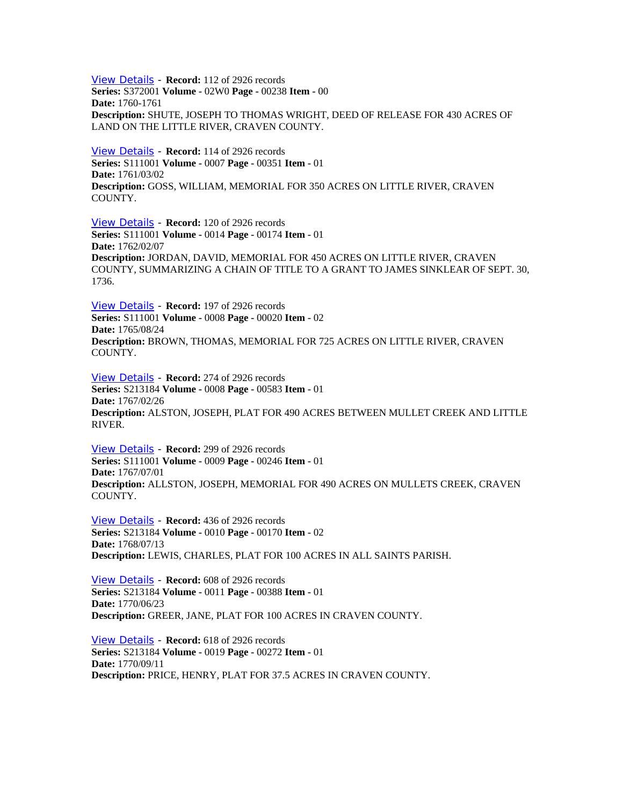[View Details](http://www.archivesindex.sc.gov/search/details.asp?index=82856&table=AllArchivalData&tableLook=MainIndex) - **Record:** 112 of 2926 records **Series:** S372001 **Volume -** 02W0 **Page -** 00238 **Item -** 00 **Date:** 1760-1761 **Description:** SHUTE, JOSEPH TO THOMAS WRIGHT, DEED OF RELEASE FOR 430 ACRES OF LAND ON THE LITTLE RIVER, CRAVEN COUNTY.

[View Details](http://www.archivesindex.sc.gov/search/details.asp?index=136895&table=AllArchivalData&tableLook=MainIndex) - **Record:** 114 of 2926 records **Series:** S111001 **Volume -** 0007 **Page -** 00351 **Item -** 01 **Date:** 1761/03/02 **Description:** GOSS, WILLIAM, MEMORIAL FOR 350 ACRES ON LITTLE RIVER, CRAVEN COUNTY.

[View Details](http://www.archivesindex.sc.gov/search/details.asp?index=152274&table=AllArchivalData&tableLook=MainIndex) - **Record:** 120 of 2926 records **Series:** S111001 **Volume -** 0014 **Page -** 00174 **Item -** 01 **Date:** 1762/02/07 **Description:** JORDAN, DAVID, MEMORIAL FOR 450 ACRES ON LITTLE RIVER, CRAVEN COUNTY, SUMMARIZING A CHAIN OF TITLE TO A GRANT TO JAMES SINKLEAR OF SEPT. 30, 1736.

[View Details](http://www.archivesindex.sc.gov/search/details.asp?index=137451&table=AllArchivalData&tableLook=MainIndex) - **Record:** 197 of 2926 records **Series:** S111001 **Volume -** 0008 **Page -** 00020 **Item -** 02 **Date:** 1765/08/24 **Description:** BROWN, THOMAS, MEMORIAL FOR 725 ACRES ON LITTLE RIVER, CRAVEN COUNTY.

[View Details](http://www.archivesindex.sc.gov/search/details.asp?index=96790&table=AllArchivalData&tableLook=MainIndex) - **Record:** 274 of 2926 records **Series:** S213184 **Volume -** 0008 **Page -** 00583 **Item -** 01 **Date:** 1767/02/26 **Description:** ALSTON, JOSEPH, PLAT FOR 490 ACRES BETWEEN MULLET CREEK AND LITTLE RIVER.

[View Details](http://www.archivesindex.sc.gov/search/details.asp?index=140603&table=AllArchivalData&tableLook=MainIndex) - **Record:** 299 of 2926 records **Series:** S111001 **Volume -** 0009 **Page -** 00246 **Item -** 01 **Date:** 1767/07/01 **Description:** ALLSTON, JOSEPH, MEMORIAL FOR 490 ACRES ON MULLETS CREEK, CRAVEN COUNTY.

[View Details](http://www.archivesindex.sc.gov/search/details.asp?index=98571&table=AllArchivalData&tableLook=MainIndex) - **Record:** 436 of 2926 records **Series:** S213184 **Volume -** 0010 **Page -** 00170 **Item -** 02 **Date:** 1768/07/13 **Description:** LEWIS, CHARLES, PLAT FOR 100 ACRES IN ALL SAINTS PARISH.

[View Details](http://www.archivesindex.sc.gov/search/details.asp?index=99828&table=AllArchivalData&tableLook=MainIndex) - **Record:** 608 of 2926 records **Series:** S213184 **Volume -** 0011 **Page -** 00388 **Item -** 01 **Date:** 1770/06/23 **Description:** GREER, JANE, PLAT FOR 100 ACRES IN CRAVEN COUNTY.

[View Details](http://www.archivesindex.sc.gov/search/details.asp?index=108862&table=AllArchivalData&tableLook=MainIndex) - **Record:** 618 of 2926 records **Series:** S213184 **Volume -** 0019 **Page -** 00272 **Item -** 01 **Date:** 1770/09/11 **Description:** PRICE, HENRY, PLAT FOR 37.5 ACRES IN CRAVEN COUNTY.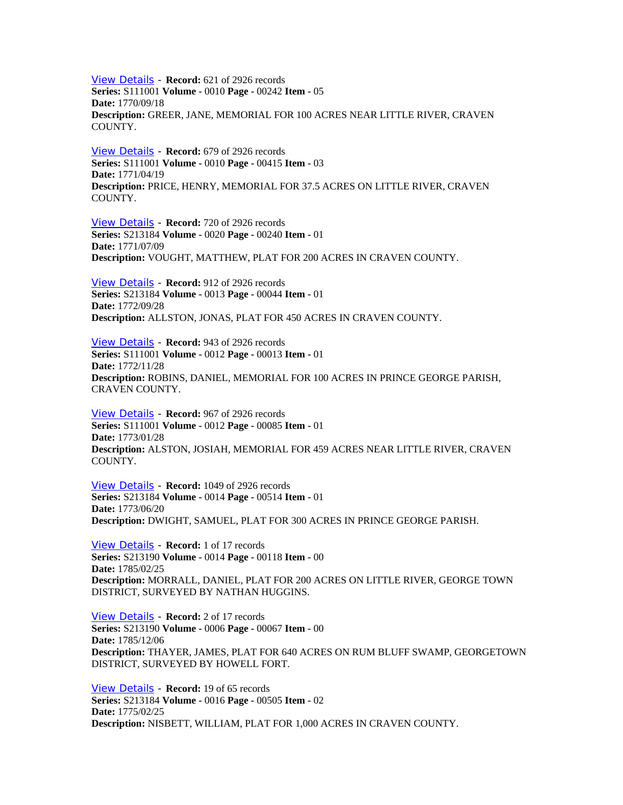[View Details](http://www.archivesindex.sc.gov/search/details.asp?index=142671&table=AllArchivalData&tableLook=MainIndex) - **Record:** 621 of 2926 records **Series:** S111001 **Volume -** 0010 **Page -** 00242 **Item -** 05 **Date:** 1770/09/18 **Description:** GREER, JANE, MEMORIAL FOR 100 ACRES NEAR LITTLE RIVER, CRAVEN COUNTY.

[View Details](http://www.archivesindex.sc.gov/search/details.asp?index=143451&table=AllArchivalData&tableLook=MainIndex) - **Record:** 679 of 2926 records **Series:** S111001 **Volume -** 0010 **Page -** 00415 **Item -** 03 **Date:** 1771/04/19 **Description:** PRICE, HENRY, MEMORIAL FOR 37.5 ACRES ON LITTLE RIVER, CRAVEN COUNTY.

[View Details](http://www.archivesindex.sc.gov/search/details.asp?index=110179&table=AllArchivalData&tableLook=MainIndex) - **Record:** 720 of 2926 records **Series:** S213184 **Volume -** 0020 **Page -** 00240 **Item -** 01 **Date:** 1771/07/09 **Description:** VOUGHT, MATTHEW, PLAT FOR 200 ACRES IN CRAVEN COUNTY.

[View Details](http://www.archivesindex.sc.gov/search/details.asp?index=100870&table=AllArchivalData&tableLook=MainIndex) - **Record:** 912 of 2926 records **Series:** S213184 **Volume -** 0013 **Page -** 00044 **Item -** 01 **Date:** 1772/09/28 **Description:** ALLSTON, JONAS, PLAT FOR 450 ACRES IN CRAVEN COUNTY.

[View Details](http://www.archivesindex.sc.gov/search/details.asp?index=146134&table=AllArchivalData&tableLook=MainIndex) - **Record:** 943 of 2926 records **Series:** S111001 **Volume -** 0012 **Page -** 00013 **Item -** 01 **Date:** 1772/11/28 **Description:** ROBINS, DANIEL, MEMORIAL FOR 100 ACRES IN PRINCE GEORGE PARISH, CRAVEN COUNTY.

[View Details](http://www.archivesindex.sc.gov/search/details.asp?index=146466&table=AllArchivalData&tableLook=MainIndex) - **Record:** 967 of 2926 records **Series:** S111001 **Volume -** 0012 **Page -** 00085 **Item -** 01 **Date:** 1773/01/28 **Description:** ALSTON, JOSIAH, MEMORIAL FOR 459 ACRES NEAR LITTLE RIVER, CRAVEN COUNTY.

[View Details](http://www.archivesindex.sc.gov/search/details.asp?index=103354&table=AllArchivalData&tableLook=MainIndex) - **Record:** 1049 of 2926 records **Series:** S213184 **Volume -** 0014 **Page -** 00514 **Item -** 01 **Date:** 1773/06/20 **Description:** DWIGHT, SAMUEL, PLAT FOR 300 ACRES IN PRINCE GEORGE PARISH.

[View Details](http://www.archivesindex.sc.gov/search/details.asp?index=8328&table=AllArchivalData&tableLook=Plats) - **Record:** 1 of 17 records **Series:** S213190 **Volume -** 0014 **Page -** 00118 **Item -** 00 **Date:** 1785/02/25 **Description:** MORRALL, DANIEL, PLAT FOR 200 ACRES ON LITTLE RIVER, GEORGE TOWN DISTRICT, SURVEYED BY NATHAN HUGGINS.

[View Details](http://www.archivesindex.sc.gov/search/details.asp?index=2662&table=AllArchivalData&tableLook=Plats) - **Record:** 2 of 17 records **Series:** S213190 **Volume -** 0006 **Page -** 00067 **Item -** 00 **Date:** 1785/12/06 **Description:** THAYER, JAMES, PLAT FOR 640 ACRES ON RUM BLUFF SWAMP, GEORGETOWN DISTRICT, SURVEYED BY HOWELL FORT.

[View Details](http://www.archivesindex.sc.gov/search/details.asp?index=105803&table=AllArchivalData&tableLook=MainIndex) - **Record:** 19 of 65 records **Series:** S213184 **Volume -** 0016 **Page -** 00505 **Item -** 02 **Date:** 1775/02/25 **Description:** NISBETT, WILLIAM, PLAT FOR 1,000 ACRES IN CRAVEN COUNTY.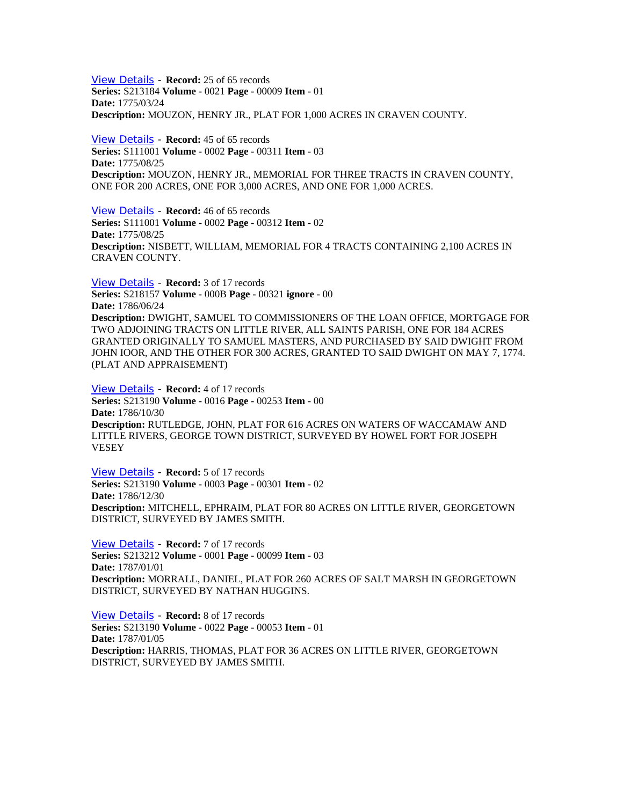[View Details](http://www.archivesindex.sc.gov/search/details.asp?index=110988&table=AllArchivalData&tableLook=MainIndex) - **Record:** 25 of 65 records **Series:** S213184 **Volume -** 0021 **Page -** 00009 **Item -** 01 **Date:** 1775/03/24 **Description:** MOUZON, HENRY JR., PLAT FOR 1,000 ACRES IN CRAVEN COUNTY.

[View Details](http://www.archivesindex.sc.gov/search/details.asp?index=131826&table=AllArchivalData&tableLook=MainIndex) - **Record:** 45 of 65 records **Series:** S111001 **Volume -** 0002 **Page -** 00311 **Item -** 03 **Date:** 1775/08/25 **Description:** MOUZON, HENRY JR., MEMORIAL FOR THREE TRACTS IN CRAVEN COUNTY, ONE FOR 200 ACRES, ONE FOR 3,000 ACRES, AND ONE FOR 1,000 ACRES.

[View Details](http://www.archivesindex.sc.gov/search/details.asp?index=131829&table=AllArchivalData&tableLook=MainIndex) - **Record:** 46 of 65 records **Series:** S111001 **Volume -** 0002 **Page -** 00312 **Item -** 02 **Date:** 1775/08/25 **Description:** NISBETT, WILLIAM, MEMORIAL FOR 4 TRACTS CONTAINING 2,100 ACRES IN CRAVEN COUNTY.

[View Details](http://www.archivesindex.sc.gov/search/details.asp?index=153312&table=AllArchivalData&tableLook=MainIndex) - **Record:** 3 of 17 records **Series:** S218157 **Volume -** 000B **Page -** 00321 **ignore -** 00 **Date:** 1786/06/24 **Description:** DWIGHT, SAMUEL TO COMMISSIONERS OF THE LOAN OFFICE, MORTGAGE FOR TWO ADJOINING TRACTS ON LITTLE RIVER, ALL SAINTS PARISH, ONE FOR 184 ACRES GRANTED ORIGINALLY TO SAMUEL MASTERS, AND PURCHASED BY SAID DWIGHT FROM JOHN IOOR, AND THE OTHER FOR 300 ACRES, GRANTED TO SAID DWIGHT ON MAY 7, 1774. (PLAT AND APPRAISEMENT)

[View Details](http://www.archivesindex.sc.gov/search/details.asp?index=9744&table=AllArchivalData&tableLook=Plats) - **Record:** 4 of 17 records **Series:** S213190 **Volume -** 0016 **Page -** 00253 **Item -** 00 **Date:** 1786/10/30 **Description:** RUTLEDGE, JOHN, PLAT FOR 616 ACRES ON WATERS OF WACCAMAW AND LITTLE RIVERS, GEORGE TOWN DISTRICT, SURVEYED BY HOWEL FORT FOR JOSEPH VESEY

[View Details](http://www.archivesindex.sc.gov/search/details.asp?index=1578&table=AllArchivalData&tableLook=Plats) - **Record:** 5 of 17 records **Series:** S213190 **Volume -** 0003 **Page -** 00301 **Item -** 02 **Date:** 1786/12/30 **Description:** MITCHELL, EPHRAIM, PLAT FOR 80 ACRES ON LITTLE RIVER, GEORGETOWN DISTRICT, SURVEYED BY JAMES SMITH.

[View Details](http://www.archivesindex.sc.gov/search/details.asp?index=51285&table=AllArchivalData&tableLook=Plats) - **Record:** 7 of 17 records **Series:** S213212 **Volume -** 0001 **Page -** 00099 **Item -** 03 **Date:** 1787/01/01 **Description:** MORRALL, DANIEL, PLAT FOR 260 ACRES OF SALT MARSH IN GEORGETOWN DISTRICT, SURVEYED BY NATHAN HUGGINS.

[View Details](http://www.archivesindex.sc.gov/search/details.asp?index=12658&table=AllArchivalData&tableLook=Plats) - **Record:** 8 of 17 records **Series:** S213190 **Volume -** 0022 **Page -** 00053 **Item -** 01 **Date:** 1787/01/05 **Description:** HARRIS, THOMAS, PLAT FOR 36 ACRES ON LITTLE RIVER, GEORGETOWN DISTRICT, SURVEYED BY JAMES SMITH.